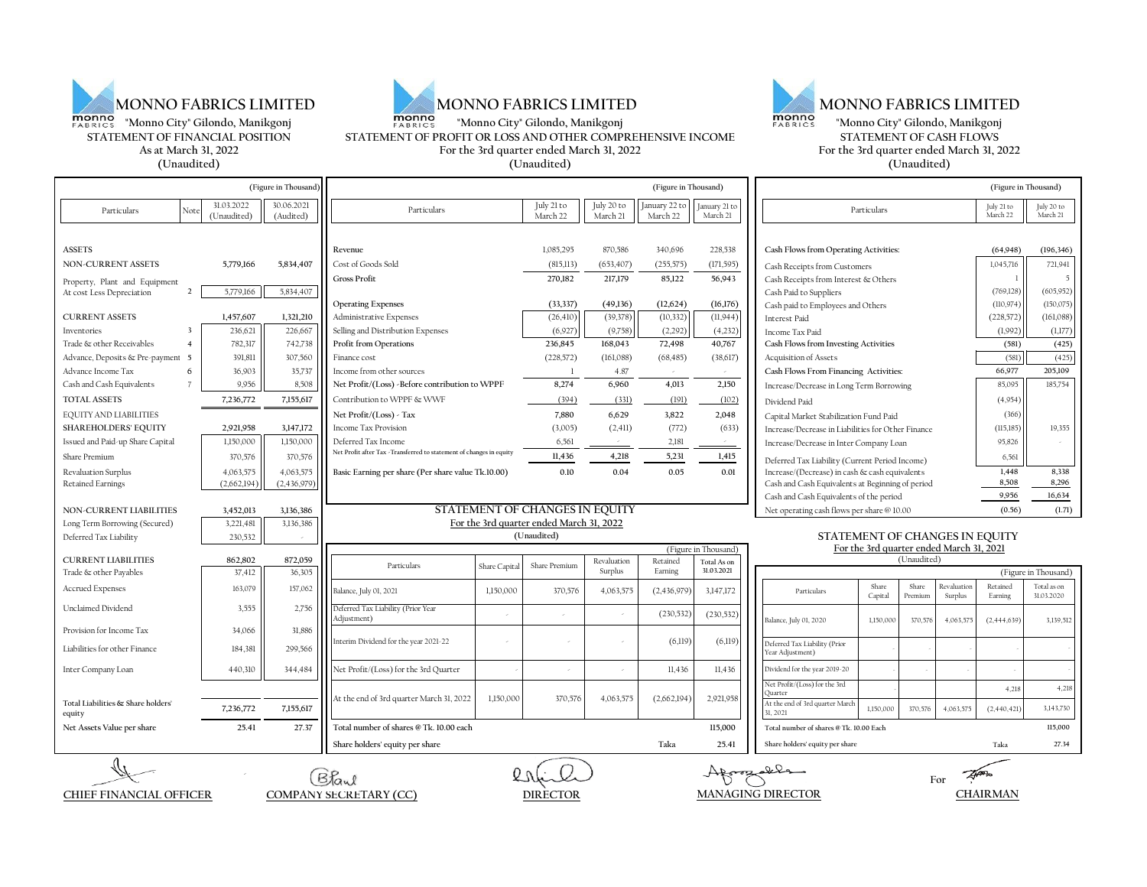





## **"Monno City" Gilondo, Manikgonj <b>"Monno"**<br>
FABRICS "Monno City" Gilondo, Manikgonj **"Monno"**<br>
STATEMENT OF PROFIT OR LOSS AND OTHER COMPREHENSIVE INCOME **STATEMENT OF PROFIT OR LOSS AND OTHER COMPREHENSIVE INCOME**<br> **STATEMENT OF PROFIT OR LOSS AND OTHER COMPREHENSIVE INCOME**<br>
For the 3rd quarter ended March 31, 2022 **As at March 31, 2022 For the 3rd quarter ended March 31, 2022 For the 3rd quarter ended March 31, 2022**

| o City" Gilondo, Manikgonj | monno<br>"Monno City" Gilondo, Manikgonj<br><b>FABRICS</b> | monno<br><b>FABRICS</b> | "Monno City" Gilondo, Manikgonj          |
|----------------------------|------------------------------------------------------------|-------------------------|------------------------------------------|
| OF FINANCIAL POSITION.     | STATEMENT OF PROFIT OR LOSS AND OTHER COMPREHENSIVE INCOME |                         | STATEMENT OF CASH FLOWS                  |
| t March 31. 2022.          | For the 3rd quarter ended March 31, 2022                   |                         | For the 3rd quarter ended March 31, 2022 |
| (Unaudited)                | (Unaudited)                                                |                         | (Unaudited)                              |

| (Figure in Thousand)                                       |                |                           | (Figure in Thousand)                                                  |                                                                                                          |               |                        |                        | (Figure in Thousand)      |                                            |                                                                |                                       |                  |                               |                        |                           |
|------------------------------------------------------------|----------------|---------------------------|-----------------------------------------------------------------------|----------------------------------------------------------------------------------------------------------|---------------|------------------------|------------------------|---------------------------|--------------------------------------------|----------------------------------------------------------------|---------------------------------------|------------------|-------------------------------|------------------------|---------------------------|
| Particulars                                                | Not            | 31.03.2022<br>(Unaudited) | 30.06.2021<br>(Audited)                                               | Particulars                                                                                              |               | July 21 to<br>March 22 | July 20 to<br>March 21 | January 22 to<br>March 22 | January 21 to<br>March 21                  | Particulars                                                    |                                       |                  | July 21 to<br>March 22        | July 20 to<br>March 21 |                           |
|                                                            |                |                           |                                                                       |                                                                                                          |               | 1,085,295              | 870,586                | 340,696                   | 228,538                                    |                                                                |                                       |                  |                               |                        |                           |
| ASSETS<br><b>NON-CURRENT ASSETS</b>                        |                |                           |                                                                       | Revenue<br>Cost of Goods Sold                                                                            |               |                        |                        |                           |                                            | Cash Flows from Operating Activities:                          |                                       |                  |                               | (64,948)               | (196, 346)                |
|                                                            |                | 5,779,166                 | 5,834,407                                                             | <b>Gross Profit</b>                                                                                      |               | (815,113)<br>270,182   | (653, 407)<br>217,179  | (255, 575)<br>85,122      | (171, 595)<br>56,943                       | Cash Receipts from Customers                                   |                                       |                  |                               | 1,045,716              | 721,941<br>$\overline{5}$ |
| Property, Plant and Equipment<br>At cost Less Depreciation | $\overline{2}$ | 5,779,166                 | 5,834,407                                                             |                                                                                                          |               |                        |                        |                           |                                            | Cash Receipts from Interest & Others<br>Cash Paid to Suppliers |                                       |                  |                               | (769, 128)             | (605, 952)                |
|                                                            |                |                           |                                                                       | <b>Operating Expenses</b>                                                                                |               | (33,337)               | (49, 136)              | (12, 624)                 | (16, 176)                                  | Cash paid to Employees and Others                              |                                       |                  |                               | (110, 974)             | (150, 075)                |
| <b>CURRENT ASSETS</b>                                      |                | 1,457,607                 | 1,321,210                                                             | Administrative Expenses                                                                                  |               | (26, 410)              | (39, 378)              | (10, 332)                 | (11,944)                                   | Interest Paid                                                  |                                       |                  |                               | (228, 572)             | (161, 088)                |
| Inventories                                                |                | 236,621                   | 226,667                                                               | Selling and Distribution Expenses                                                                        |               | (6,927)                | (9,758)                | (2, 292)                  | (4, 232)                                   | Income Tax Paid                                                |                                       |                  |                               | (1,992)                | (1,177)                   |
| Trade & other Receivables                                  | $\overline{4}$ | 782,317                   | 742,738                                                               | 236,845<br>72,498<br>Profit from Operations<br>168,043<br>40,767<br>Cash Flows from Investing Activities |               |                        |                        | (581)                     | (425)                                      |                                                                |                                       |                  |                               |                        |                           |
| Advance, Deposits & Pre-payment                            | $\overline{5}$ | 391,811                   | 307,560                                                               | Finance cost                                                                                             |               | (228, 572)             | (161,088)              | (68, 485)                 | (38,617)                                   | Acquisition of Assets                                          | Cash Flows From Financing Activities: |                  |                               |                        | (425)                     |
| Advance Income Tax                                         | 6              | 36,903                    | 35,737                                                                | Income from other sources                                                                                |               | $\overline{1}$         | 4.87                   |                           |                                            |                                                                |                                       |                  |                               | 66,977                 | 205,109                   |
| Cash and Cash Equivalents                                  |                | 9,956                     | 8,508                                                                 | Net Profit/(Loss) -Before contribution to WPPF                                                           |               | 8,274                  | 6,960                  | 4,013                     | 2,150                                      | Increase/Decrease in Long Term Borrowing                       |                                       |                  |                               | 85,095                 | 185,754                   |
| <b>TOTAL ASSETS</b>                                        |                | 7,236,772                 | 7,155,617                                                             | Contribution to WPPF & WWF                                                                               |               | (394)                  | (331)                  | (191)                     | (102)                                      | Dividend Paid                                                  |                                       |                  |                               | (4,954)                |                           |
| EQUITY AND LIABILITIES                                     |                |                           |                                                                       | Net Profit/(Loss) - Tax                                                                                  |               | 7,880                  | 6,629                  | 3,822                     | 2,048                                      | Capital Market Stabilization Fund Paid                         |                                       |                  |                               | (366)                  |                           |
| <b>SHAREHOLDERS' EQUITY</b>                                |                | 2,921,958                 | 3,147,172                                                             | Income Tax Provision                                                                                     |               | (3,005)                | (2,411)                | (772)                     | (633)                                      | Increase/Decrease in Liabilities for Other Finance             |                                       |                  |                               | (115, 185)             | 19,355                    |
| Issued and Paid-up Share Capital                           |                | 1,150,000                 | 1,150,000                                                             | Deferred Tax Income                                                                                      |               | 6,561                  |                        | 2,181                     |                                            | Increase/Decrease in Inter Company Loan                        |                                       |                  |                               | 95,826                 |                           |
| Share Premium                                              |                | 370,576                   | 370,576                                                               | Net Profit after Tax -Transferred to statement of changes in equity                                      |               | 11,436                 | 4,218                  | 5,231                     | 1,415                                      | Deferred Tax Liability (Current Period Income)                 |                                       |                  |                               | 6,561                  |                           |
| Revaluation Surplus                                        |                | 4,063,575                 | 4,063,575                                                             | Basic Earning per share (Per share value Tk.10.00)                                                       |               | 0.10                   | 0.04                   | 0.05                      | 0.01                                       | Increase/(Decrease) in cash & cash equivalents                 |                                       |                  |                               | 1,448                  | 8,338                     |
| Retained Earnings                                          |                | (2,662,194)               | (2,436,979)                                                           |                                                                                                          |               |                        |                        |                           |                                            | Cash and Cash Equivalents at Beginning of period               |                                       |                  |                               | 8,508                  | 8,296                     |
|                                                            |                |                           |                                                                       |                                                                                                          |               |                        |                        |                           | Cash and Cash Equivalents of the period    |                                                                |                                       |                  | 9,956                         | 16,634                 |                           |
| NON-CURRENT LIABILITIES                                    |                | 3,452,013                 | 3,136,386                                                             | STATEMENT OF CHANGES IN EQUITY                                                                           |               |                        |                        |                           | Net operating cash flows per share @ 10.00 |                                                                |                                       |                  | (0.56)                        | (1.71)                 |                           |
| Long Term Borrowing (Secured)                              |                | 3,221,481<br>230,532      | 3,136,386                                                             | For the 3rd quarter ended March 31, 2022<br>STATEMENT OF CHANGES IN EQUITY<br>(Unaudited)                |               |                        |                        |                           |                                            |                                                                |                                       |                  |                               |                        |                           |
| Deferred Tax Liability                                     |                |                           |                                                                       |                                                                                                          |               |                        |                        |                           | (Figure in Thousand)                       | For the 3rd quarter ended March 31, 2021                       |                                       |                  |                               |                        |                           |
| <b>CURRENT LIABILITIES</b>                                 |                | 862,802                   | 872,059                                                               | Particulars                                                                                              |               | <b>Share Premium</b>   | Revaluation            | Retained                  | Total As on                                |                                                                |                                       | (Unaudited)      |                               |                        |                           |
| Trade & other Payables                                     |                | 37,412                    | 36.305                                                                |                                                                                                          | Share Capital |                        | Surplus                | Earning                   | 31.03.2021                                 |                                                                |                                       |                  |                               |                        | (Figure in Thousand)      |
| <b>Accrued Expenses</b>                                    |                | 163,079                   | 157,062                                                               | Balance, July 01, 2021                                                                                   | 1,150,000     | 370,576                | 4,063,575              | (2,436,979)               | 3,147,172                                  | Particulars                                                    | Share<br>Capital                      | Share<br>Premium | <b>Revaluation</b><br>Surplus | Retained<br>Earning    | Total as on<br>31.03.2020 |
| Unclaimed Dividend                                         |                | 3,555                     | 2,756                                                                 | Deferred Tax Liability (Prior Year<br>Adiustment)                                                        |               |                        |                        | (230, 532)                | (230, 532)                                 | Balance, July 01, 2020                                         | 1,150,000                             | 370,576          | 4,063,575                     | (2,444,639)            | 3,139,512                 |
| Provision for Income Tax                                   |                | 34,066                    | 31,886                                                                |                                                                                                          |               |                        |                        |                           |                                            |                                                                |                                       |                  |                               |                        |                           |
| Liabilities for other Finance                              |                | 184,381                   | 299,566                                                               | Interim Dividend for the year 2021-22                                                                    |               |                        |                        | (6, 119)                  | (6,119)                                    | Deferred Tax Liability (Prior<br>'ear Adjustment)              |                                       |                  |                               |                        |                           |
| Inter Company Loan                                         |                | 440,310                   | 344,484                                                               | Net Profit/(Loss) for the 3rd Quarter                                                                    |               |                        |                        | 11.436                    | 11,436                                     | Dividend for the year 2019-20                                  |                                       |                  |                               |                        |                           |
|                                                            |                |                           |                                                                       |                                                                                                          |               |                        |                        |                           |                                            | Vet Profit/(Loss) for the 3rd<br>uarter)                       |                                       |                  |                               | 4,218                  | 4,218                     |
| Total Liabilities & Share holders'<br>equity               |                | 7,236,772                 | 7,155,617                                                             | At the end of 3rd quarter March 31, 2022                                                                 | 1,150,000     | 370,576                | 4,063,575              | (2,662,194)               | 2,921,958                                  | At the end of 3rd quarter March<br>31, 2021                    | 1,150,000                             | 370,576          | 4,063,575                     | (2,440,421)            | 3,143,730                 |
| Net Assets Value per share                                 |                | 25.41                     | 27.37                                                                 | Total number of shares @ Tk. 10.00 each                                                                  |               |                        |                        |                           | 115,000                                    | Total number of shares @ Tk. 10.00 Each                        |                                       |                  |                               |                        | 115,000                   |
|                                                            |                |                           |                                                                       | Share holders' equity per share                                                                          |               |                        |                        | Taka                      | 25.41                                      | Share holders' equity per share                                |                                       |                  |                               | Taka                   | 27.34                     |
|                                                            |                |                           |                                                                       | Bland                                                                                                    |               |                        |                        |                           |                                            | Afrozalla                                                      |                                       |                  | For                           |                        |                           |
| <b>CHIEF FINANCIAL OFFICER</b>                             |                |                           | <b>MANAGING DIRECTOR</b><br>COMPANY SECRETARY (CC)<br><b>DIRECTOR</b> |                                                                                                          |               |                        |                        |                           |                                            | <b>CHAIRMAN</b>                                                |                                       |                  |                               |                        |                           |